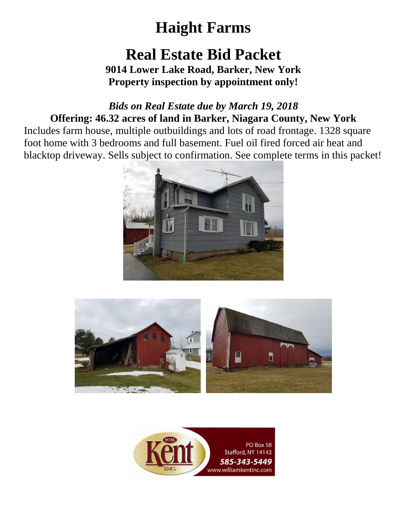## **Real Estate Bid Packet**

**9014 Lower Lake Road, Barker, New York Property inspection by appointment only!**

### *Bids on Real Estate due by March 19, 2018* **Offering: 46.32 acres of land in Barker, Niagara County, New York**

Includes farm house, multiple outbuildings and lots of road frontage. 1328 square foot home with 3 bedrooms and full basement. Fuel oil fired forced air heat and blacktop driveway. Sells subject to confirmation. See complete terms in this packet!





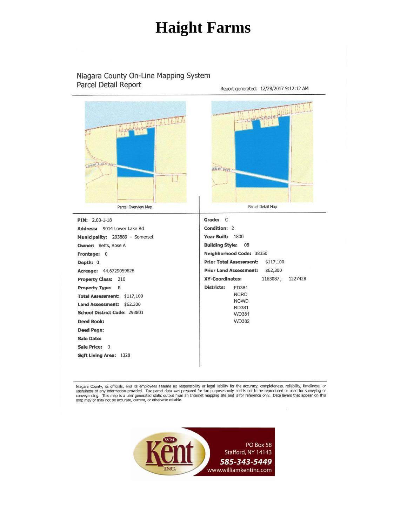#### Niagara County On-Line Mapping System Parcel Detail Report



Niagara County, its officials, and its employees assume no responsibility or legal liability for the accuracy, completeness, reliability, timeliness, or interviews, and its owner of the proposes only and is not be reproduced or used for survey in the manner of any information provided. Tax parel data was prepared for tax purposes only and is not to be reproduced or used fo

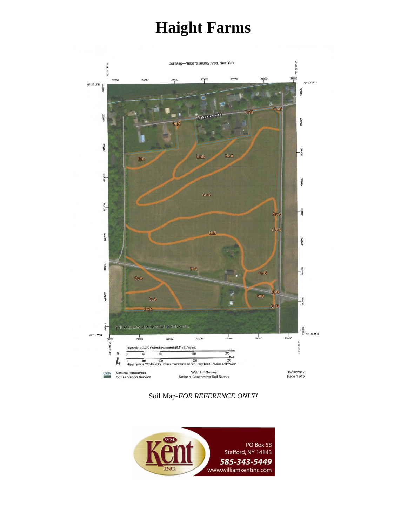

Soil Map-*FOR REFERENCE ONLY!*

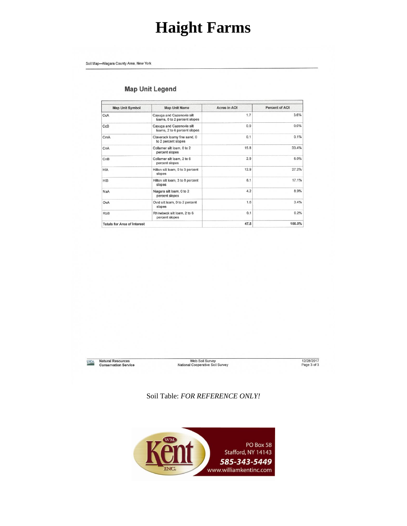Soil Map-Niagara County Area, New York

#### **Map Unit Legend**

| <b>Map Unit Symbol</b>             | <b>Map Unit Name</b>                                      | Acres in AOI | <b>Percent of AOI</b> |
|------------------------------------|-----------------------------------------------------------|--------------|-----------------------|
| CcA                                | Cayuga and Cazenovia silt<br>loams, 0 to 2 percent slopes | 1.7          | 3.6%                  |
| CcB                                | Cayuga and Cazenovia silt<br>loams, 2 to 6 percent slopes | 0.0          | 0.0%                  |
| CmA                                | Claverack loamy fine sand, 0<br>to 2 percent slopes       | 0.1          | 0.1%                  |
| CnA                                | Collamer silt loam, 0 to 2<br>percent slopes              | 15.8         | 33.4%                 |
| CnB                                | Collamer silt loam, 2 to 6<br>percent slopes              | 2.9          | 6.0%                  |
| <b>HIA</b>                         | Hilton silt loam, 0 to 3 percent<br>slopes                | 12.9         | 27.2%                 |
| <b>HIB</b>                         | Hilton silt loam, 3 to 8 percent<br>slopes                | 8.1          | 17.1%                 |
| NaA                                | Niagara silt loam, 0 to 2<br>percent slopes               | 4.2          | 8.9%                  |
| OvA                                | Ovid silt loam, 0 to 2 percent<br>slopes                  | 1.6          | 3.4%                  |
| <b>RbB</b>                         | Rhinebeck silt loam, 2 to 6<br>percent slopes             | 0.1          | 0.2%                  |
| <b>Totals for Area of Interest</b> |                                                           | 47.5         | 100.0%                |

USDA Natural Resources<br>Conservation Service

Web Soil Survey<br>National Cooperative Soil Survey

12/28/2017<br>Page 3 of 3

Soil Table: *FOR REFERENCE ONLY!*

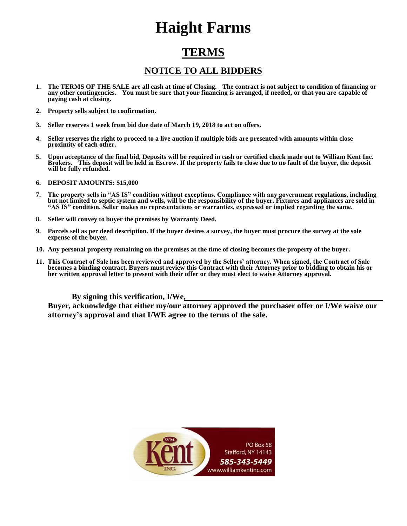### **TERMS**

#### **NOTICE TO ALL BIDDERS**

- **1. The TERMS OF THE SALE are all cash at time of Closing. The contract is not subject to condition of financing or any other contingencies. You must be sure that your financing is arranged, if needed, or that you are capable of paying cash at closing.**
- **2. Property sells subject to confirmation.**
- **3. Seller reserves 1 week from bid due date of March 19, 2018 to act on offers.**
- **4. Seller reserves the right to proceed to a live auction if multiple bids are presented with amounts within close proximity of each other.**
- **5. Upon acceptance of the final bid, Deposits will be required in cash or certified check made out to William Kent Inc. Brokers. This deposit will be held in Escrow. If the property fails to close due to no fault of the buyer, the deposit will be fully refunded.**
- **6. DEPOSIT AMOUNTS: \$15,000**
- **7. The property sells in "AS IS" condition without exceptions. Compliance with any government regulations, including but not limited to septic system and wells, will be the responsibility of the buyer. Fixtures and appliances are sold in "AS IS" condition. Seller makes no representations or warranties, expressed or implied regarding the same.**
- **8. Seller will convey to buyer the premises by Warranty Deed.**
- **9. Parcels sell as per deed description. If the buyer desires a survey, the buyer must procure the survey at the sole expense of the buyer.**
- **10. Any personal property remaining on the premises at the time of closing becomes the property of the buyer.**
- **11. This Contract of Sale has been reviewed and approved by the Sellers' attorney. When signed, the Contract of Sale becomes a binding contract. Buyers must review this Contract with their Attorney prior to bidding to obtain his or her written approval letter to present with their offer or they must elect to waive Attorney approval.**

**By signing this verification, I/We,** 

**Buyer, acknowledge that either my/our attorney approved the purchaser offer or I/We waive our attorney's approval and that I/WE agree to the terms of the sale.**

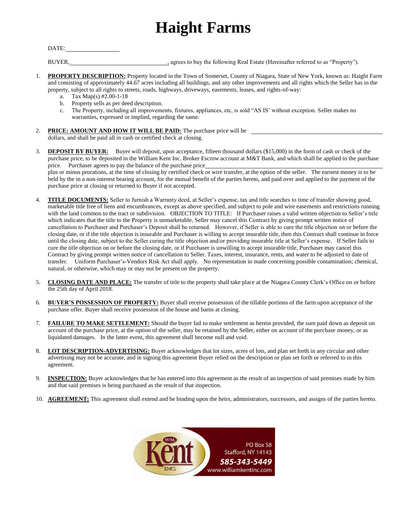DATE:

BUYER, agrees to buy the following Real Estate (Hereinafter referred to as "Property").

- 1. **PROPERTY DESCRIPTION:** Property located in the Town of Somerset, County of Niagara, State of New York, known as: Haight Farm and consisting of approximately 44.67 acres including all buildings, and any other improvements and all rights which the Seller has in the property, subject to all rights to streets, roads, highways, driveways, easements, leases, and rights-of-way:
	- a. Tax Map(s) #2.00-1-18
	- b. Property sells as per deed description.
	- c. The Property, including all improvements, fixtures, appliances, etc, is sold "AS IS' without exception. Seller makes no warranties, expressed or implied, regarding the same.
- 2. **PRICE: AMOUNT AND HOW IT WILL BE PAID:** The purchase price will be dollars, and shall be paid all in cash or certified check at closing.
- 3. **DEPOSIT BY BUYER:** Buyer will deposit, upon acceptance, fifteen thousand dollars (\$15,000) in the form of cash or check of the purchase price, to be deposited in the William Kent Inc. Broker Escrow account at M&T Bank, and which shall be applied to the purchase price. Purchaser agrees to pay the balance of the purchase price\_ plus or minus prorations, at the time of closing by certified check or wire transfer, at the option of the seller. The earnest money is to be held by the in a non-interest bearing account, for the mutual benefit of the parties hereto, and paid over and applied to the payment of the purchase price at closing or returned to Buyer if not accepted.
- 4. **TITLE DOCUMENTS:** Seller to furnish a Warranty deed, at Seller's expense, tax and title searches to time of transfer showing good, marketable title free of liens and encumbrances, except as above specified, and subject to pole and wire easements and restrictions running with the land common to the tract or subdivision. OBJECTION TO TITLE: If Purchaser raises a valid written objection to Seller's title which indicates that the title to the Property is unmarketable, Seller may cancel this Contract by giving prompt written notice of cancellation to Purchaser and Purchaser's Deposit shall be returned. However, if Seller is able to cure the title objection on or before the closing date, or if the title objection is insurable and Purchaser is willing to accept insurable title, then this Contract shall continue in force until the closing date, subject to the Seller curing the title objection and/or providing insurable title at Seller's expense. If Seller fails to cure the title objection on or before the closing date, or if Purchaser is unwilling to accept insurable title, Purchaser may cancel this Contract by giving prompt written notice of cancellation to Seller. Taxes, interest, insurance, rents, and water to be adjusted to date of transfer. Uniform Purchaser's-Vendors Risk Act shall apply. No representation in made concerning possible contamination; chemical, natural, or otherwise, which may or may not be present on the property.
- 5. **CLOSING DATE AND PLACE:** The transfer of title to the property shall take place at the Niagara County Clerk's Office on or before the 25th day of April 2018.
- 6. **BUYER'S POSSESSION OF PROPERTY:** Buyer shall receive possession of the tillable portions of the farm upon acceptance of the purchase offer. Buyer shall receive possession of the house and barns at closing.
- 7. **FAILURE TO MAKE SETTLEMENT:** Should the buyer fail to make settlement as herein provided, the sum paid down as deposit on account of the purchase price, at the option of the seller, may be retained by the Seller, either on account of the purchase money, or as liquidated damages. In the latter event, this agreement shall become null and void.
- 8. **LOT DESCRIPTION-ADVERTISING:** Buyer acknowledges that lot sizes, acres of lots, and plan set forth in any circular and other advertising may not be accurate, and in signing this agreement Buyer relied on the description or plan set forth or referred to in this agreement.
- 9. **INSPECTION:** Buyer acknowledges that he has entered into this agreement as the result of an inspection of said premises made by him and that said premises is being purchased as the result of that inspection.
- 10. **AGREEMENT:** This agreement shall extend and be binding upon the heirs, administrators, successors, and assigns of the parties hereto.